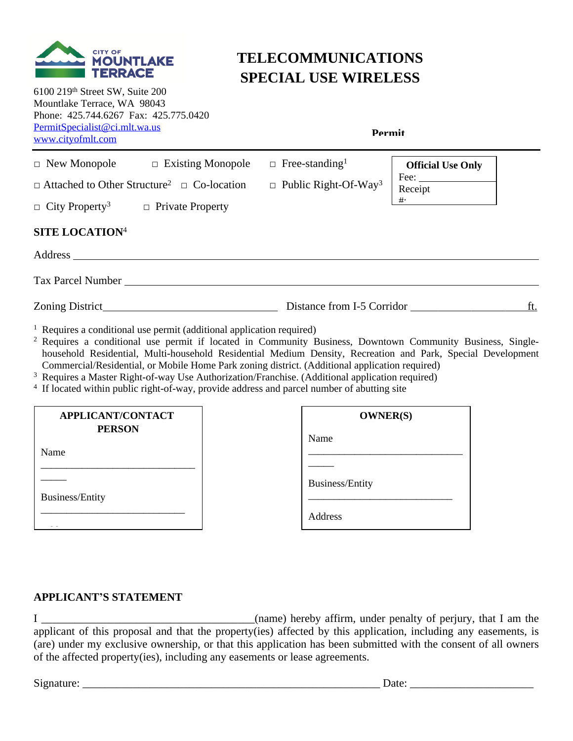

# **TELECOMMUNICATIONS SPECIAL USE WIRELESS**

6100 219th Street SW, Suite 200 Mountlake Terrace, WA 98043 Phone: 425.744.6267 Fax: 425.775.0420 [PermitSpecialist@ci.mlt.wa.us](mailto:PermitSpecialist@ci.mlt.wa.us) [www.cityofmlt.com](http://www.cityofmlt.com)

**Permit** 

| $\Box$ New Monopole $\Box$ Existing Monopole<br>$\Box$ Attached to Other Structure <sup>2</sup> $\Box$ Co-location<br>$\Box$ City Property <sup>3</sup> $\Box$ Private Property |  | $\Box$ Free-standing <sup>1</sup><br>$\Box$ Public Right-Of-Way <sup>3</sup> | <b>Official Use Only</b><br>Receipt<br>$+$ |     |
|---------------------------------------------------------------------------------------------------------------------------------------------------------------------------------|--|------------------------------------------------------------------------------|--------------------------------------------|-----|
| <b>SITE LOCATION4</b>                                                                                                                                                           |  |                                                                              |                                            |     |
| Tax Parcel Number                                                                                                                                                               |  |                                                                              |                                            |     |
|                                                                                                                                                                                 |  |                                                                              |                                            | ft. |
| <sup>1</sup> Requires a conditional use permit (additional application required)                                                                                                |  |                                                                              |                                            |     |

<sup>2</sup> Requires a conditional use permit if located in Community Business, Downtown Community Business, Singlehousehold Residential, Multi-household Residential Medium Density, Recreation and Park, Special Development Commercial/Residential, or Mobile Home Park zoning district. (Additional application required)

- <sup>3</sup> Requires a Master Right-of-way Use Authorization/Franchise. (Additional application required)
- <sup>4</sup> If located within public right-of-way, provide address and parcel number of abutting site

| APPLICANT/CONTACT      | <b>OWNER(S)</b>        |
|------------------------|------------------------|
| <b>PERSON</b>          | Name                   |
| Name                   |                        |
|                        |                        |
|                        | <b>Business/Entity</b> |
| <b>Business/Entity</b> |                        |
|                        | Address                |

## **APPLICANT'S STATEMENT**

I \_\_\_\_\_\_\_\_\_\_\_\_\_\_\_\_\_\_\_\_\_\_\_\_\_\_\_\_\_\_\_\_\_\_\_\_\_\_(name) hereby affirm, under penalty of perjury, that I am the applicant of this proposal and that the property(ies) affected by this application, including any easements, is (are) under my exclusive ownership, or that this application has been submitted with the consent of all owners of the affected property(ies), including any easements or lease agreements.

Signature: \_\_\_\_\_\_\_\_\_\_\_\_\_\_\_\_\_\_\_\_\_\_\_\_\_\_\_\_\_\_\_\_\_\_\_\_\_\_\_\_\_\_\_\_\_\_\_\_\_\_\_\_\_ Date: \_\_\_\_\_\_\_\_\_\_\_\_\_\_\_\_\_\_\_\_\_\_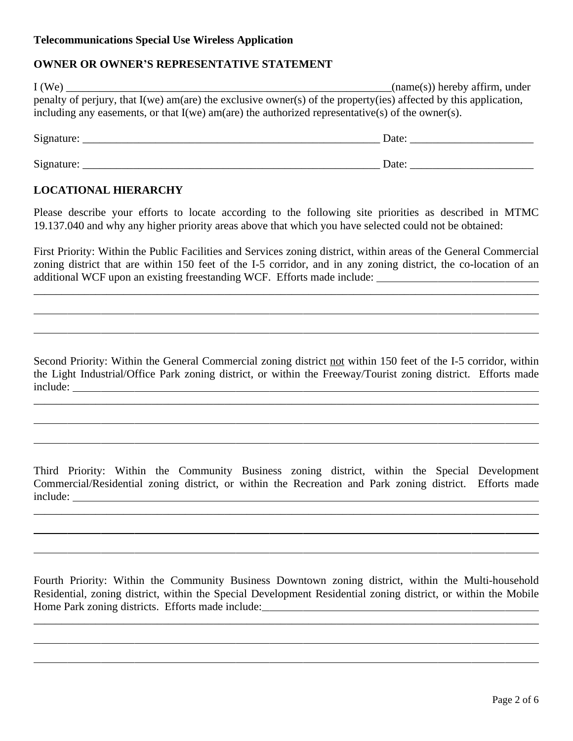#### **OWNER OR OWNER'S REPRESENTATIVE STATEMENT**

| $I$ (We) | $(name(s))$ hereby affirm, under                                                                                   |
|----------|--------------------------------------------------------------------------------------------------------------------|
|          | penalty of perjury, that $I(we)$ am(are) the exclusive owner(s) of the property(ies) affected by this application, |
|          | including any easements, or that $I(we)$ am(are) the authorized representative(s) of the owner(s).                 |

| Signature: | Date: |
|------------|-------|
|            |       |
| Signature: | Date: |

#### **LOCATIONAL HIERARCHY**

 $\overline{a}$ 

 $\overline{a}$ 

 $\overline{a}$ 

 $\overline{a}$ 

 $\overline{a}$ 

 $\overline{a}$ 

 $\overline{a}$ 

 $\overline{a}$ 

Please describe your efforts to locate according to the following site priorities as described in MTMC 19.137.040 and why any higher priority areas above that which you have selected could not be obtained:

First Priority: Within the Public Facilities and Services zoning district, within areas of the General Commercial zoning district that are within 150 feet of the I-5 corridor, and in any zoning district, the co-location of an additional WCF upon an existing freestanding WCF. Efforts made include:

\_\_\_\_\_\_\_\_\_\_\_\_\_\_\_\_\_\_\_\_\_\_\_\_\_\_\_\_\_\_\_\_\_\_\_\_\_\_\_\_\_\_\_\_\_\_\_\_\_\_\_\_\_\_\_\_\_\_\_\_\_\_\_\_\_\_\_\_\_\_\_\_\_\_\_\_\_\_\_\_\_\_\_\_\_\_\_\_\_\_

Second Priority: Within the General Commercial zoning district not within 150 feet of the I-5 corridor, within the Light Industrial/Office Park zoning district, or within the Freeway/Tourist zoning district. Efforts made include:

Third Priority: Within the Community Business zoning district, within the Special Development Commercial/Residential zoning district, or within the Recreation and Park zoning district. Efforts made include:

\_\_\_\_\_\_\_\_\_\_\_\_\_\_\_\_\_\_\_\_\_\_\_\_\_\_\_\_\_\_\_\_\_\_\_\_\_\_\_\_\_\_\_\_\_\_\_\_\_\_\_\_\_\_\_\_\_\_\_\_\_\_\_\_\_\_\_\_\_\_\_\_\_\_\_\_\_\_\_\_\_\_\_\_\_\_\_\_\_\_

Fourth Priority: Within the Community Business Downtown zoning district, within the Multi-household Residential, zoning district, within the Special Development Residential zoning district, or within the Mobile Home Park zoning districts. Efforts made include:

\_\_\_\_\_\_\_\_\_\_\_\_\_\_\_\_\_\_\_\_\_\_\_\_\_\_\_\_\_\_\_\_\_\_\_\_\_\_\_\_\_\_\_\_\_\_\_\_\_\_\_\_\_\_\_\_\_\_\_\_\_\_\_\_\_\_\_\_\_\_\_\_\_\_\_\_\_\_\_\_\_\_\_\_\_\_\_\_\_\_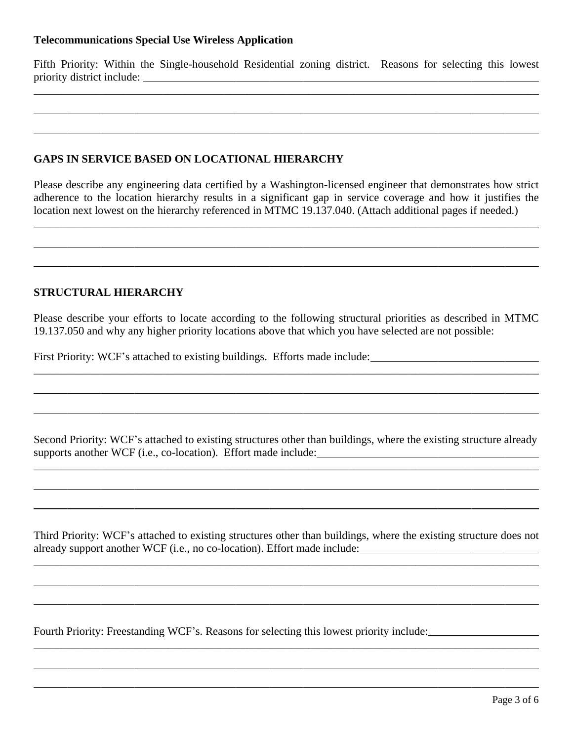Fifth Priority: Within the Single-household Residential zoning district. Reasons for selecting this lowest priority district include:

\_\_\_\_\_\_\_\_\_\_\_\_\_\_\_\_\_\_\_\_\_\_\_\_\_\_\_\_\_\_\_\_\_\_\_\_\_\_\_\_\_\_\_\_\_\_\_\_\_\_\_\_\_\_\_\_\_\_\_\_\_\_\_\_\_\_\_\_\_\_\_\_\_\_\_\_\_\_\_\_\_\_\_\_\_\_\_\_\_\_

# **GAPS IN SERVICE BASED ON LOCATIONAL HIERARCHY**

Please describe any engineering data certified by a Washington-licensed engineer that demonstrates how strict adherence to the location hierarchy results in a significant gap in service coverage and how it justifies the location next lowest on the hierarchy referenced in MTMC 19.137.040. (Attach additional pages if needed.)

\_\_\_\_\_\_\_\_\_\_\_\_\_\_\_\_\_\_\_\_\_\_\_\_\_\_\_\_\_\_\_\_\_\_\_\_\_\_\_\_\_\_\_\_\_\_\_\_\_\_\_\_\_\_\_\_\_\_\_\_\_\_\_\_\_\_\_\_\_\_\_\_\_\_\_\_\_\_\_\_\_\_\_\_\_\_\_\_\_\_

## **STRUCTURAL HIERARCHY**

 $\overline{a}$ 

 $\overline{a}$ 

 $\overline{a}$ 

 $\overline{a}$ 

 $\overline{a}$ 

 $\overline{a}$ 

 $\overline{a}$ 

 $\overline{a}$ 

 $\overline{a}$ 

 $\overline{a}$ 

 $\overline{a}$ 

 $\overline{a}$ 

Please describe your efforts to locate according to the following structural priorities as described in MTMC 19.137.050 and why any higher priority locations above that which you have selected are not possible:

First Priority: WCF's attached to existing buildings. Efforts made include:

Second Priority: WCF's attached to existing structures other than buildings, where the existing structure already supports another WCF (i.e., co-location). Effort made include:

\_\_\_\_\_\_\_\_\_\_\_\_\_\_\_\_\_\_\_\_\_\_\_\_\_\_\_\_\_\_\_\_\_\_\_\_\_\_\_\_\_\_\_\_\_\_\_\_\_\_\_\_\_\_\_\_\_\_\_\_\_\_\_\_\_\_\_\_\_\_\_\_\_\_\_\_\_\_\_\_\_\_\_\_\_\_\_\_\_\_

Third Priority: WCF's attached to existing structures other than buildings, where the existing structure does not already support another WCF (i.e., no co-location). Effort made include:

\_\_\_\_\_\_\_\_\_\_\_\_\_\_\_\_\_\_\_\_\_\_\_\_\_\_\_\_\_\_\_\_\_\_\_\_\_\_\_\_\_\_\_\_\_\_\_\_\_\_\_\_\_\_\_\_\_\_\_\_\_\_\_\_\_\_\_\_\_\_\_\_\_\_\_\_\_\_\_\_\_\_\_\_\_\_\_\_\_\_

\_\_\_\_\_\_\_\_\_\_\_\_\_\_\_\_\_\_\_\_\_\_\_\_\_\_\_\_\_\_\_\_\_\_\_\_\_\_\_\_\_\_\_\_\_\_\_\_\_\_\_\_\_\_\_\_\_\_\_\_\_\_\_\_\_\_\_\_\_\_\_\_\_\_\_\_\_\_\_\_\_\_\_\_\_\_\_\_\_\_

Fourth Priority: Freestanding WCF's. Reasons for selecting this lowest priority include: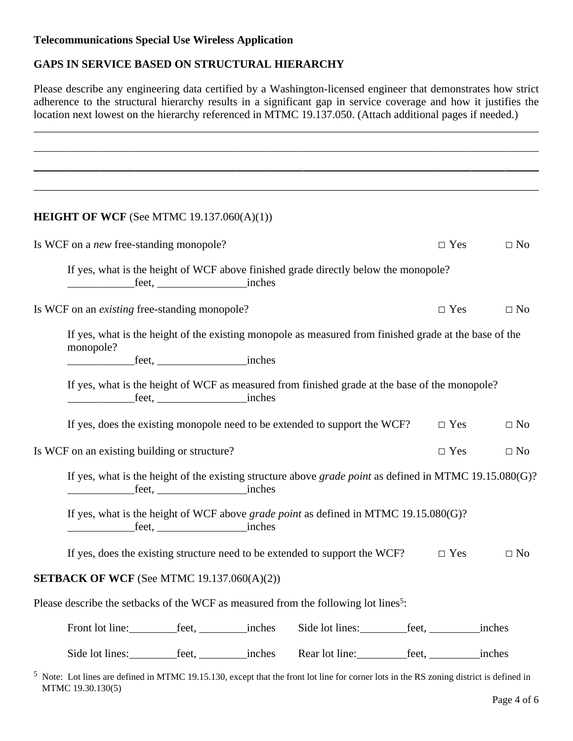# **GAPS IN SERVICE BASED ON STRUCTURAL HIERARCHY**

Please describe any engineering data certified by a Washington-licensed engineer that demonstrates how strict adherence to the structural hierarchy results in a significant gap in service coverage and how it justifies the location next lowest on the hierarchy referenced in MTMC 19.137.050. (Attach additional pages if needed.)

\_\_\_\_\_\_\_\_\_\_\_\_\_\_\_\_\_\_\_\_\_\_\_\_\_\_\_\_\_\_\_\_\_\_\_\_\_\_\_\_\_\_\_\_\_\_\_\_\_\_\_\_\_\_\_\_\_\_\_\_\_\_\_\_\_\_\_\_\_\_\_\_\_\_\_\_\_\_\_\_\_\_\_\_\_\_\_\_\_\_

| <b>HEIGHT OF WCF</b> (See MTMC $19.137.060(A)(1)$ )                                                                                                                     |  |                                                                                                                   |            |                         |
|-------------------------------------------------------------------------------------------------------------------------------------------------------------------------|--|-------------------------------------------------------------------------------------------------------------------|------------|-------------------------|
| Is WCF on a <i>new</i> free-standing monopole?                                                                                                                          |  |                                                                                                                   |            | $\Box$ Yes<br>$\Box$ No |
|                                                                                                                                                                         |  | If yes, what is the height of WCF above finished grade directly below the monopole?                               |            |                         |
| Is WCF on an <i>existing</i> free-standing monopole?                                                                                                                    |  |                                                                                                                   | $\Box$ Yes | $\Box$ No               |
| monopole?                                                                                                                                                               |  | If yes, what is the height of the existing monopole as measured from finished grade at the base of the            |            |                         |
|                                                                                                                                                                         |  |                                                                                                                   |            |                         |
|                                                                                                                                                                         |  | If yes, what is the height of WCF as measured from finished grade at the base of the monopole?                    |            |                         |
|                                                                                                                                                                         |  | If yes, does the existing monopole need to be extended to support the WCF?                                        |            | $\Box$ Yes<br>$\Box$ No |
| Is WCF on an existing building or structure?                                                                                                                            |  |                                                                                                                   | $\Box$ Yes | $\Box$ No               |
|                                                                                                                                                                         |  | If yes, what is the height of the existing structure above <i>grade point</i> as defined in MTMC $19.15.080(G)$ ? |            |                         |
|                                                                                                                                                                         |  | If yes, what is the height of WCF above grade point as defined in MTMC $19.15.080(G)$ ?                           |            |                         |
|                                                                                                                                                                         |  | If yes, does the existing structure need to be extended to support the WCF?                                       |            | $\Box$ Yes<br>$\Box$ No |
| <b>SETBACK OF WCF</b> (See MTMC $19.137.060(A)(2)$ )                                                                                                                    |  |                                                                                                                   |            |                         |
| Please describe the setbacks of the WCF as measured from the following lot lines <sup>5</sup> :                                                                         |  |                                                                                                                   |            |                         |
|                                                                                                                                                                         |  | Side lot lines: _____________feet, _____________inches                                                            |            |                         |
|                                                                                                                                                                         |  |                                                                                                                   |            |                         |
| <sup>5</sup> Note: Lot lines are defined in MTMC 19.15.130, except that the front lot line for corner lots in the RS zoning district is defined in<br>MTMC 19.30.130(5) |  |                                                                                                                   |            |                         |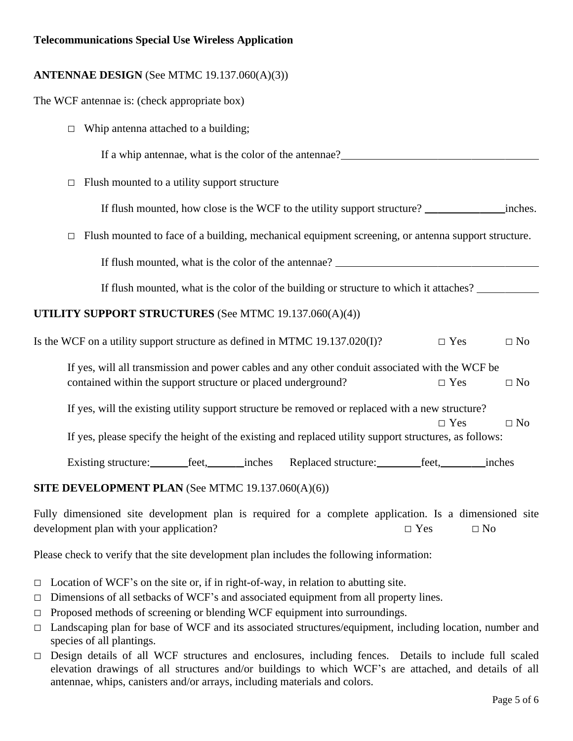| <b>ANTENNAE DESIGN</b> (See MTMC 19.137.060(A)(3))                                                                                   |  |  |  |  |
|--------------------------------------------------------------------------------------------------------------------------------------|--|--|--|--|
| The WCF antennae is: (check appropriate box)                                                                                         |  |  |  |  |
| Whip antenna attached to a building;<br>$\Box$                                                                                       |  |  |  |  |
| If a whip antennae, what is the color of the antennae?<br><u>Let</u> a whip antennae, what is the color of the antennae?             |  |  |  |  |
| Flush mounted to a utility support structure<br>$\Box$                                                                               |  |  |  |  |
|                                                                                                                                      |  |  |  |  |
| Flush mounted to face of a building, mechanical equipment screening, or antenna support structure.<br>$\Box$                         |  |  |  |  |
|                                                                                                                                      |  |  |  |  |
| If flush mounted, what is the color of the building or structure to which it attaches?                                               |  |  |  |  |
| UTILITY SUPPORT STRUCTURES (See MTMC 19.137.060(A)(4))                                                                               |  |  |  |  |
| Is the WCF on a utility support structure as defined in MTMC 19.137.020(I)?<br>$\square$ Yes<br>$\Box$ No                            |  |  |  |  |
| If yes, will all transmission and power cables and any other conduit associated with the WCF be                                      |  |  |  |  |
| contained within the support structure or placed underground?<br>$\square$ Yes<br>$\Box$ No                                          |  |  |  |  |
| If yes, will the existing utility support structure be removed or replaced with a new structure?                                     |  |  |  |  |
| $\square$ Yes<br>$\Box$ No<br>If yes, please specify the height of the existing and replaced utility support structures, as follows: |  |  |  |  |
|                                                                                                                                      |  |  |  |  |
| Existing structure: feet, inches                                                                                                     |  |  |  |  |
| SITE DEVELOPMENT PLAN (See MTMC 19.137.060(A)(6))                                                                                    |  |  |  |  |
| Fully dimensioned site development plan is required for a complete application. Is a dimensioned site                                |  |  |  |  |

development plan with your application?  $\Box$  Yes  $\Box$  No

Please check to verify that the site development plan includes the following information:

- $\Box$  Location of WCF's on the site or, if in right-of-way, in relation to abutting site.
- $\Box$  Dimensions of all setbacks of WCF's and associated equipment from all property lines.
- $\Box$  Proposed methods of screening or blending WCF equipment into surroundings.
- □ Landscaping plan for base of WCF and its associated structures/equipment, including location, number and species of all plantings.
- □ Design details of all WCF structures and enclosures, including fences. Details to include full scaled elevation drawings of all structures and/or buildings to which WCF's are attached, and details of all antennae, whips, canisters and/or arrays, including materials and colors.